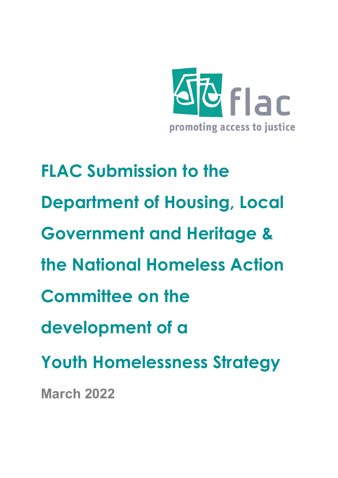

**FLAC Submission to the Department of Housing, Local Government and Heritage & the National Homeless Action Committee on the development of a Youth Homelessness Strategy March 2022**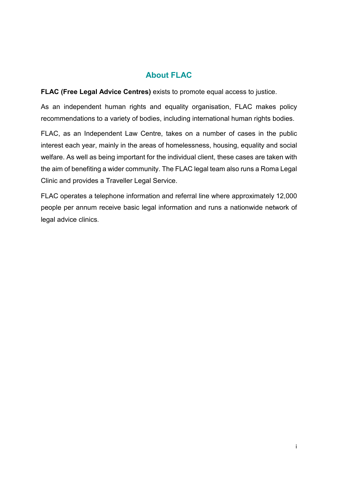# **About FLAC**

**FLAC (Free Legal Advice Centres)** exists to promote equal access to justice.

As an independent human rights and equality organisation, FLAC makes policy recommendations to a variety of bodies, including international human rights bodies.

FLAC, as an Independent Law Centre, takes on a number of cases in the public interest each year, mainly in the areas of homelessness, housing, equality and social welfare. As well as being important for the individual client, these cases are taken with the aim of benefiting a wider community. The FLAC legal team also runs a Roma Legal Clinic and provides a Traveller Legal Service.

FLAC operates a telephone information and referral line where approximately 12,000 people per annum receive basic legal information and runs a nationwide network of legal advice clinics.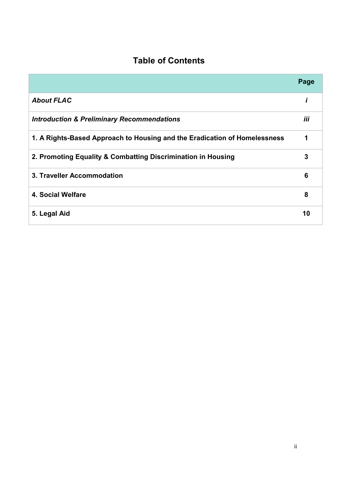# **Table of Contents**

|                                                                           | Page |
|---------------------------------------------------------------------------|------|
| <b>About FLAC</b>                                                         |      |
| <b>Introduction &amp; Preliminary Recommendations</b>                     | iii  |
| 1. A Rights-Based Approach to Housing and the Eradication of Homelessness | 1    |
| 2. Promoting Equality & Combatting Discrimination in Housing              | 3    |
| 3. Traveller Accommodation                                                | 6    |
| 4. Social Welfare                                                         | 8    |
| 5. Legal Aid                                                              | 10   |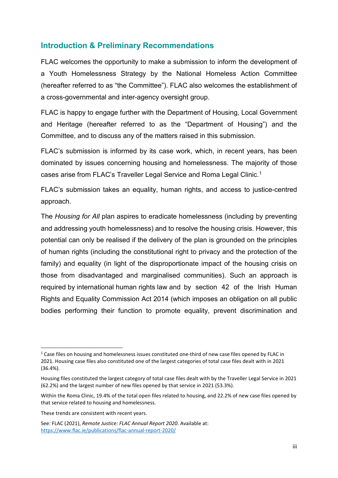## **Introduction & Preliminary Recommendations**

FLAC welcomes the opportunity to make a submission to inform the development of a Youth Homelessness Strategy by the National Homeless Action Committee (hereafter referred to as "the Committee"). FLAC also welcomes the establishment of a cross-governmental and inter-agency oversight group.

FLAC is happy to engage further with the Department of Housing, Local Government and Heritage (hereafter referred to as the "Department of Housing") and the Committee, and to discuss any of the matters raised in this submission.

FLAC's submission is informed by its case work, which, in recent years, has been dominated by issues concerning housing and homelessness. The majority of those cases arise from FLAC's Traveller Legal Service and Roma Legal Clinic.[1](#page-3-0)

FLAC's submission takes an equality, human rights, and access to justice-centred approach.

The *Housing for All* plan aspires to eradicate homelessness (including by preventing and addressing youth homelessness) and to resolve the housing crisis. However, this potential can only be realised if the delivery of the plan is grounded on the principles of human rights (including the constitutional right to privacy and the protection of the family) and equality (in light of the disproportionate impact of the housing crisis on those from disadvantaged and marginalised communities). Such an approach is required by international human rights law and by section 42 of the Irish Human Rights and Equality Commission Act 2014 (which imposes an obligation on all public bodies performing their function to promote equality, prevent discrimination and

<span id="page-3-0"></span> $1$  Case files on housing and homelessness issues constituted one-third of new case files opened by FLAC in 2021. Housing case files also constituted one of the largest categories of total case files dealt with in 2021 (36.4%).

Housing files constituted the largest category of total case files dealt with by the Traveller Legal Service in 2021 (62.2%) and the largest number of new files opened by that service in 2021 (53.3%).

Within the Roma Clinic, 19.4% of the total open files related to housing, and 22.2% of new case files opened by that service related to housing and homelessness.

These trends are consistent with recent years.

See: FLAC (2021), *Remote Justice: FLAC Annual Report 2020*. Available at: <https://www.flac.ie/publications/flac-annual-report-2020/>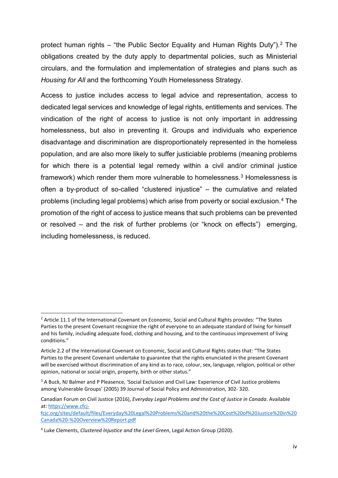protect human rights – "the Public Sector Equality and Human Rights Duty").<sup>[2](#page-4-0)</sup> The obligations created by the duty apply to departmental policies, such as Ministerial circulars, and the formulation and implementation of strategies and plans such as *Housing for All* and the forthcoming Youth Homelessness Strategy.

Access to justice includes access to legal advice and representation, access to dedicated legal services and knowledge of legal rights, entitlements and services. The vindication of the right of access to justice is not only important in addressing homelessness, but also in preventing it. Groups and individuals who experience disadvantage and discrimination are disproportionately represented in the homeless population, and are also more likely to suffer justiciable problems (meaning problems for which there is a potential legal remedy within a civil and/or criminal justice framework) which render them more vulnerable to homelessness. [3](#page-4-1) Homelessness is often a by-product of so-called "clustered injustice" – the cumulative and related problems (including legal problems) which arise from poverty or social exclusion.[4](#page-4-2) The promotion of the right of access to justice means that such problems can be prevented or resolved – and the risk of further problems (or "knock on effects") emerging, including homelessness, is reduced.

<span id="page-4-0"></span><sup>&</sup>lt;sup>2</sup> Article 11.1 of the International Covenant on Economic, Social and Cultural Rights provides: "The States Parties to the present Covenant recognize the right of everyone to an adequate standard of living for himself and his family, including adequate food, clothing and housing, and to the continuous improvement of living conditions."

Article 2.2 of the International Covenant on Economic, Social and Cultural Rights states that: "The States Parties to the present Covenant undertake to guarantee that the rights enunciated in the present Covenant will be exercised without discrimination of any kind as to race, colour, sex, language, religion, political or other opinion, national or social origin, property, birth or other status."

<span id="page-4-1"></span><sup>&</sup>lt;sup>3</sup> A Buck, NJ Balmer and P Pleasence, 'Social Exclusion and Civil Law: Experience of Civil Justice problems among Vulnerable Groups' (2005) 39 Journal of Social Policy and Administration, 302- 320.

Canadian Forum on Civil Justice (2016), *Everyday Legal Problems and the Cost of Justice in Canada*. Available at: [https://www.cfcj-](https://www.cfcj-fcjc.org/sites/default/files/Everyday%20Legal%20Problems%20and%20the%20Cost%20of%20Justice%20in%20Canada%20-%20Overview%20Report.pdf)

[fcjc.org/sites/default/files/Everyday%20Legal%20Problems%20and%20the%20Cost%20of%20Justice%20in%20](https://www.cfcj-fcjc.org/sites/default/files/Everyday%20Legal%20Problems%20and%20the%20Cost%20of%20Justice%20in%20Canada%20-%20Overview%20Report.pdf) [Canada%20-%20Overview%20Report.pdf](https://www.cfcj-fcjc.org/sites/default/files/Everyday%20Legal%20Problems%20and%20the%20Cost%20of%20Justice%20in%20Canada%20-%20Overview%20Report.pdf)

<span id="page-4-2"></span><sup>4</sup> Luke Clements, *Clustered Injustice and the Level Green*, Legal Action Group (2020).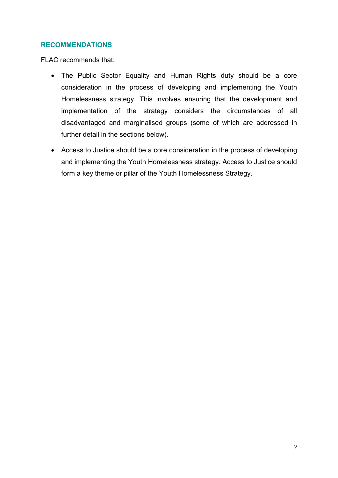## **RECOMMENDATIONS**

- The Public Sector Equality and Human Rights duty should be a core consideration in the process of developing and implementing the Youth Homelessness strategy. This involves ensuring that the development and implementation of the strategy considers the circumstances of all disadvantaged and marginalised groups (some of which are addressed in further detail in the sections below).
- Access to Justice should be a core consideration in the process of developing and implementing the Youth Homelessness strategy. Access to Justice should form a key theme or pillar of the Youth Homelessness Strategy.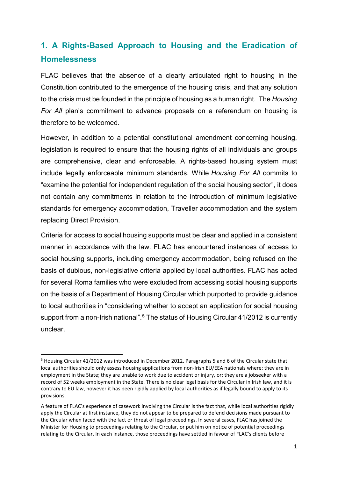# **1. A Rights-Based Approach to Housing and the Eradication of Homelessness**

FLAC believes that the absence of a clearly articulated right to housing in the Constitution contributed to the emergence of the housing crisis, and that any solution to the crisis must be founded in the principle of housing as a human right. The *Housing For All* plan's commitment to advance proposals on a referendum on housing is therefore to be welcomed.

However, in addition to a potential constitutional amendment concerning housing, legislation is required to ensure that the housing rights of all individuals and groups are comprehensive, clear and enforceable. A rights-based housing system must include legally enforceable minimum standards. While *Housing For All* commits to "examine the potential for independent regulation of the social housing sector", it does not contain any commitments in relation to the introduction of minimum legislative standards for emergency accommodation, Traveller accommodation and the system replacing Direct Provision.

Criteria for access to social housing supports must be clear and applied in a consistent manner in accordance with the law. FLAC has encountered instances of access to social housing supports, including emergency accommodation, being refused on the basis of dubious, non-legislative criteria applied by local authorities. FLAC has acted for several Roma families who were excluded from accessing social housing supports on the basis of a Department of Housing Circular which purported to provide guidance to local authorities in "considering whether to accept an application for social housing support from a non-Irish national".<sup>[5](#page-6-0)</sup> The status of Housing Circular 41/2012 is currently unclear.

<span id="page-6-0"></span> <sup>5</sup> Housing Circular 41/2012 was introduced in December 2012. Paragraphs 5 and 6 of the Circular state that local authorities should only assess housing applications from non-Irish EU/EEA nationals where: they are in employment in the State; they are unable to work due to accident or injury, or; they are a jobseeker with a record of 52 weeks employment in the State. There is no clear legal basis for the Circular in Irish law, and it is contrary to EU law, however it has been rigidly applied by local authorities as if legally bound to apply to its provisions.

A feature of FLAC's experience of casework involving the Circular is the fact that, while local authorities rigidly apply the Circular at first instance, they do not appear to be prepared to defend decisions made pursuant to the Circular when faced with the fact or threat of legal proceedings. In several cases, FLAC has joined the Minister for Housing to proceedings relating to the Circular, or put him on notice of potential proceedings relating to the Circular. In each instance, those proceedings have settled in favour of FLAC's clients before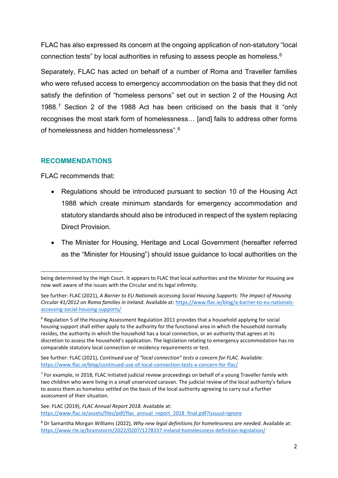FLAC has also expressed its concern at the ongoing application of non-statutory "local connection tests" by local authorities in refusing to assess people as homeless.[6](#page-7-0)

Separately, FLAC has acted on behalf of a number of Roma and Traveller families who were refused access to emergency accommodation on the basis that they did not satisfy the definition of "homeless persons" set out in section 2 of the Housing Act 1988.[7](#page-7-1) Section 2 of the 1988 Act has been criticised on the basis that it "only recognises the most stark form of homelessness… [and] fails to address other forms of homelessness and hidden homelessness".[8](#page-7-2)

## **RECOMMENDATIONS**

FLAC recommends that:

 $\overline{\phantom{a}}$ 

- Regulations should be introduced pursuant to section 10 of the Housing Act 1988 which create minimum standards for emergency accommodation and statutory standards should also be introduced in respect of the system replacing Direct Provision.
- The Minister for Housing, Heritage and Local Government (hereafter referred as the "Minister for Housing") should issue guidance to local authorities on the

See further: FLAC (2021), *Continued use of "local connection" tests a concern for FLAC*. Available: <https://www.flac.ie/blog/continued-use-of-local-connection-tests-a-concern-for-flac/>

<span id="page-7-1"></span> $<sup>7</sup>$  For example, in 2018, FLAC initiated judicial review proceedings on behalf of a young Traveller family with</sup> two children who were living in a small unserviced caravan. The judicial review of the local authority's failure to assess them as homeless settled on the basis of the local authority agreeing to carry out a further assessment of their situation.

See: FLAC (2019), *FLAC Annual Report 2018*. Available at: [https://www.flac.ie/assets/files/pdf/flac\\_annual\\_report\\_2018\\_final.pdf?issuusl=ignore](https://www.flac.ie/assets/files/pdf/flac_annual_report_2018_final.pdf?issuusl=ignore)

<span id="page-7-2"></span><sup>8</sup> Dr Samantha Morgan Williams (2022), *Why new legal definitions for homelessness are needed*. Available at: <https://www.rte.ie/brainstorm/2022/0207/1278337-ireland-homelessness-definition-legislation/>

being determined by the High Court. It appears to FLAC that local authorities and the Minister for Housing are now well aware of the issues with the Circular and its legal infirmity.

See further: FLAC (2021), *A Barrier to EU Nationals accessing Social Housing Supports: The Impact of Housing Circular 41/2012 on Roma families in Ireland*. Available at[: https://www.flac.ie/blog/a-barrier-to-eu-nationals](https://www.flac.ie/blog/a-barrier-to-eu-nationals-accessing-social-housing-supports/)[accessing-social-housing-supports/](https://www.flac.ie/blog/a-barrier-to-eu-nationals-accessing-social-housing-supports/)

<span id="page-7-0"></span> $6$  Regulation 5 of the Housing Assessment Regulation 2011 provides that a household applying for social housing support shall either apply to the authority for the functional area in which the household normally resides, the authority in which the household has a local connection, or an authority that agrees at its discretion to assess the household's application. The legislation relating to emergency accommodation has no comparable statutory local connection or residency requirements or test.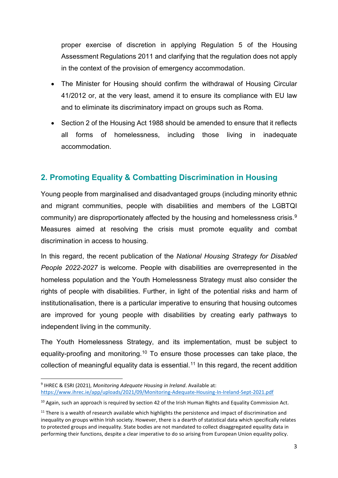proper exercise of discretion in applying Regulation 5 of the Housing Assessment Regulations 2011 and clarifying that the regulation does not apply in the context of the provision of emergency accommodation.

- The Minister for Housing should confirm the withdrawal of Housing Circular 41/2012 or, at the very least, amend it to ensure its compliance with EU law and to eliminate its discriminatory impact on groups such as Roma.
- Section 2 of the Housing Act 1988 should be amended to ensure that it reflects all forms of homelessness, including those living in inadequate accommodation.

# **2. Promoting Equality & Combatting Discrimination in Housing**

Young people from marginalised and disadvantaged groups (including minority ethnic and migrant communities, people with disabilities and members of the LGBTQI community) are disproportionately affected by the housing and homelessness crisis.[9](#page-8-0) Measures aimed at resolving the crisis must promote equality and combat discrimination in access to housing.

In this regard, the recent publication of the *National Housing Strategy for Disabled People 2022-2027* is welcome. People with disabilities are overrepresented in the homeless population and the Youth Homelessness Strategy must also consider the rights of people with disabilities. Further, in light of the potential risks and harm of institutionalisation, there is a particular imperative to ensuring that housing outcomes are improved for young people with disabilities by creating early pathways to independent living in the community.

The Youth Homelessness Strategy, and its implementation, must be subject to equality-proofing and monitoring.<sup>[10](#page-8-1)</sup> To ensure those processes can take place, the collection of meaningful equality data is essential.<sup>[11](#page-8-2)</sup> In this regard, the recent addition

<span id="page-8-0"></span> <sup>9</sup> IHREC & ESRI (2021), *Monitoring Adequate Housing in Ireland*. Available at: <https://www.ihrec.ie/app/uploads/2021/09/Monitoring-Adequate-Housing-In-Ireland-Sept-2021.pdf>

<span id="page-8-1"></span> $10$  Again, such an approach is required by section 42 of the Irish Human Rights and Equality Commission Act.

<span id="page-8-2"></span><sup>&</sup>lt;sup>11</sup> There is a wealth of research available which highlights the persistence and impact of discrimination and inequality on groups within Irish society. However, there is a dearth of statistical data which specifically relates to protected groups and inequality. State bodies are not mandated to collect disaggregated equality data in performing their functions, despite a clear imperative to do so arising from European Union equality policy.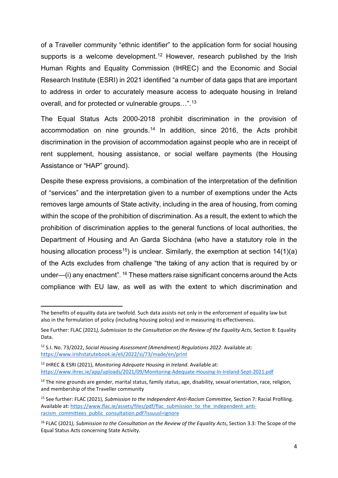of a Traveller community "ethnic identifier" to the application form for social housing supports is a welcome development.<sup>[12](#page-9-0)</sup> However, research published by the Irish Human Rights and Equality Commission (IHREC) and the Economic and Social Research Institute (ESRI) in 2021 identified "a number of data gaps that are important to address in order to accurately measure access to adequate housing in Ireland overall, and for protected or vulnerable groups…".<sup>[13](#page-9-1)</sup>

The Equal Status Acts 2000-2018 prohibit discrimination in the provision of accommodation on nine grounds. [14](#page-9-2) In addition, since 2016, the Acts prohibit discrimination in the provision of accommodation against people who are in receipt of rent supplement, housing assistance, or social welfare payments (the Housing Assistance or "HAP" ground).

Despite these express provisions, a combination of the interpretation of the definition of "services" and the interpretation given to a number of exemptions under the Acts removes large amounts of State activity, including in the area of housing, from coming within the scope of the prohibition of discrimination. As a result, the extent to which the prohibition of discrimination applies to the general functions of local authorities, the Department of Housing and An Garda Síochána (who have a statutory role in the housing allocation process<sup>[15](#page-9-3)</sup>) is unclear. Similarly, the exemption at section  $14(1)(a)$ of the Acts excludes from challenge "the taking of any action that is required by or under—(i) any enactment".  $16$  These matters raise significant concerns around the Acts compliance with EU law, as well as with the extent to which discrimination and

 $\overline{\phantom{a}}$ 

The benefits of equality data are twofold. Such data assists not only in the enforcement of equality law but also in the formulation of policy (including housing policy) and in measuring its effectiveness.

See Further: FLAC (2021*), Submission to the Consultation on the Review of the Equality Acts*, Section 8: Equality Data.

<span id="page-9-0"></span><sup>12</sup> S.I. No. 73/2022, *Social Housing Assessment (Amendment) Regulations 2022*. Available at: <https://www.irishstatutebook.ie/eli/2022/si/73/made/en/print>

<span id="page-9-1"></span><sup>13</sup> IHREC & ESRI (2021), *Monitoring Adequate Housing in Ireland*. Available at: <https://www.ihrec.ie/app/uploads/2021/09/Monitoring-Adequate-Housing-In-Ireland-Sept-2021.pdf>

<span id="page-9-2"></span><sup>&</sup>lt;sup>14</sup> The nine grounds are gender, marital status, family status, age, disability, sexual orientation, race, religion, and membership of the Traveller community

<span id="page-9-3"></span><sup>15</sup> See further: FLAC (2021), *Submission to the Independent Anti-Racism Committee,* Section 7: Racial Profiling. Available at: [https://www.flac.ie/assets/files/pdf/flac\\_submission\\_to\\_the\\_independent\\_anti](https://www.flac.ie/assets/files/pdf/flac_submission_to_the_independent_anti-racism_committees_public_consultation.pdf?issuusl=ignore)[racism\\_committees\\_public\\_consultation.pdf?issuusl=ignore](https://www.flac.ie/assets/files/pdf/flac_submission_to_the_independent_anti-racism_committees_public_consultation.pdf?issuusl=ignore)

<span id="page-9-4"></span><sup>16</sup> FLAC (2021*), Submission to the Consultation on the Review of the Equality Acts*, Section 3.3: The Scope of the Equal Status Acts concerning State Activity.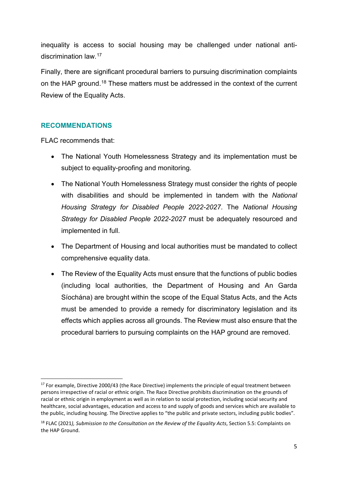inequality is access to social housing may be challenged under national antidiscrimination law. [17](#page-10-0)

Finally, there are significant procedural barriers to pursuing discrimination complaints on the HAP ground[.18](#page-10-1) These matters must be addressed in the context of the current Review of the Equality Acts.

## **RECOMMENDATIONS**

- The National Youth Homelessness Strategy and its implementation must be subject to equality-proofing and monitoring.
- The National Youth Homelessness Strategy must consider the rights of people with disabilities and should be implemented in tandem with the *National Housing Strategy for Disabled People 2022-2027*. The *National Housing Strategy for Disabled People 2022-2027* must be adequately resourced and implemented in full.
- The Department of Housing and local authorities must be mandated to collect comprehensive equality data.
- The Review of the Equality Acts must ensure that the functions of public bodies (including local authorities, the Department of Housing and An Garda Síochána) are brought within the scope of the Equal Status Acts, and the Acts must be amended to provide a remedy for discriminatory legislation and its effects which applies across all grounds. The Review must also ensure that the procedural barriers to pursuing complaints on the HAP ground are removed.

<span id="page-10-0"></span> $17$  For example, Directive 2000/43 (the Race Directive) implements the principle of equal treatment between persons irrespective of racial or ethnic origin. The Race Directive prohibits discrimination on the grounds of racial or ethnic origin in employment as well as in relation to social protection, including social security and healthcare, social advantages, education and access to and supply of goods and services which are available to the public, including housing. The Directive applies to "the public and private sectors, including public bodies".

<span id="page-10-1"></span><sup>18</sup> FLAC (2021*), Submission to the Consultation on the Review of the Equality Acts*, Section 5.5: Complaints on the HAP Ground.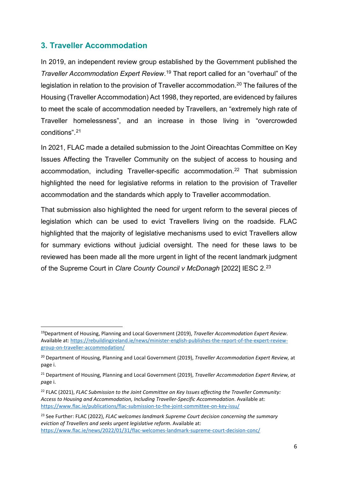# **3. Traveller Accommodation**

In 2019, an independent review group established by the Government published the *Traveller Accommodation Expert Review*. [19](#page-11-0) That report called for an "overhaul" of the legislation in relation to the provision of Traveller accommodation.<sup>[20](#page-11-1)</sup> The failures of the Housing (Traveller Accommodation) Act 1998, they reported, are evidenced by failures to meet the scale of accommodation needed by Travellers, an "extremely high rate of Traveller homelessness", and an increase in those living in "overcrowded conditions".[21](#page-11-2)

In 2021, FLAC made a detailed submission to the Joint Oireachtas Committee on Key Issues Affecting the Traveller Community on the subject of access to housing and accommodation, including Traveller-specific accommodation.<sup>[22](#page-11-3)</sup> That submission highlighted the need for legislative reforms in relation to the provision of Traveller accommodation and the standards which apply to Traveller accommodation.

That submission also highlighted the need for urgent reform to the several pieces of legislation which can be used to evict Travellers living on the roadside. FLAC highlighted that the majority of legislative mechanisms used to evict Travellers allow for summary evictions without judicial oversight. The need for these laws to be reviewed has been made all the more urgent in light of the recent landmark judgment of the Supreme Court in *Clare County Council v McDonagh* [2022] IESC 2. [23](#page-11-4)

<span id="page-11-0"></span> <sup>19</sup>Department of Housing, Planning and Local Government (2019), *Traveller Accommodation Expert Review*. Available at: [https://rebuildingireland.ie/news/minister-english-publishes-the-report-of-the-expert-review](https://rebuildingireland.ie/news/minister-english-publishes-the-report-of-the-expert-review-group-on-traveller-accommodation/)[group-on-traveller-accommodation/](https://rebuildingireland.ie/news/minister-english-publishes-the-report-of-the-expert-review-group-on-traveller-accommodation/)

<span id="page-11-1"></span><sup>20</sup> Department of Housing, Planning and Local Government (2019), *Traveller Accommodation Expert Review,* at page i.

<span id="page-11-2"></span><sup>21</sup> Department of Housing, Planning and Local Government (2019), *Traveller Accommodation Expert Review, at p*age i.

<span id="page-11-3"></span><sup>22</sup> FLAC (2021), *FLAC Submission to the Joint Committee on Key Issues affecting the Traveller Community: Access to Housing and Accommodation, Including Traveller-Specific Accommodation*. Available at: <https://www.flac.ie/publications/flac-submission-to-the-joint-committee-on-key-issu/>

<span id="page-11-4"></span><sup>23</sup> See Further: FLAC (2022), *FLAC welcomes landmark Supreme Court decision concerning the summary eviction of Travellers and seeks urgent legislative reform*. Available at: <https://www.flac.ie/news/2022/01/31/flac-welcomes-landmark-supreme-court-decision-conc/>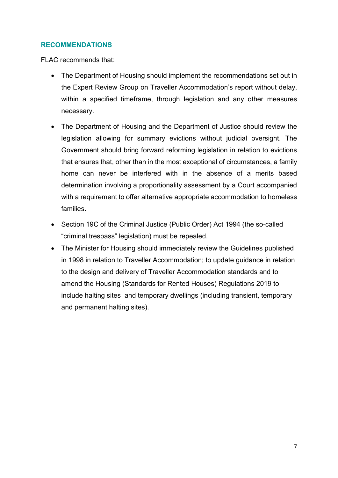## **RECOMMENDATIONS**

- The Department of Housing should implement the recommendations set out in the Expert Review Group on Traveller Accommodation's report without delay, within a specified timeframe, through legislation and any other measures necessary.
- The Department of Housing and the Department of Justice should review the legislation allowing for summary evictions without judicial oversight. The Government should bring forward reforming legislation in relation to evictions that ensures that, other than in the most exceptional of circumstances, a family home can never be interfered with in the absence of a merits based determination involving a proportionality assessment by a Court accompanied with a requirement to offer alternative appropriate accommodation to homeless families.
- Section 19C of the Criminal Justice (Public Order) Act 1994 (the so-called "criminal trespass" legislation) must be repealed.
- The Minister for Housing should immediately review the Guidelines published in 1998 in relation to Traveller Accommodation; to update guidance in relation to the design and delivery of Traveller Accommodation standards and to amend the Housing (Standards for Rented Houses) Regulations 2019 to include halting sites and temporary dwellings (including transient, temporary and permanent halting sites).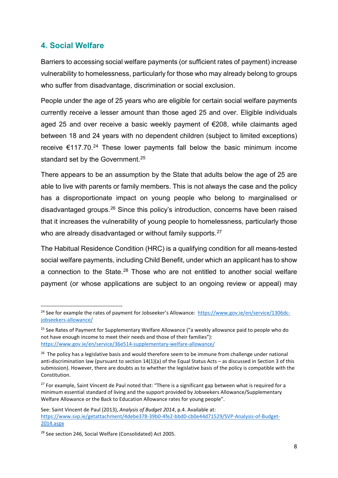## **4. Social Welfare**

Barriers to accessing social welfare payments (or sufficient rates of payment) increase vulnerability to homelessness, particularly for those who may already belong to groups who suffer from disadvantage, discrimination or social exclusion.

People under the age of 25 years who are eligible for certain social welfare payments currently receive a lesser amount than those aged 25 and over. Eligible individuals aged 25 and over receive a basic weekly payment of €208, while claimants aged between 18 and 24 years with no dependent children (subject to limited exceptions) receive  $\epsilon$ 117.70.<sup>[24](#page-13-0)</sup> These lower payments fall below the basic minimum income standard set by the Government.<sup>[25](#page-13-1)</sup>

There appears to be an assumption by the State that adults below the age of 25 are able to live with parents or family members. This is not always the case and the policy has a disproportionate impact on young people who belong to marginalised or disadvantaged groups.[26](#page-13-2) Since this policy's introduction, concerns have been raised that it increases the vulnerability of young people to homelessness, particularly those who are already disadvantaged or without family supports.<sup>[27](#page-13-3)</sup>

The Habitual Residence Condition (HRC) is a qualifying condition for all means-tested social welfare payments, including Child Benefit, under which an applicant has to show a connection to the State. $28$  Those who are not entitled to another social welfare payment (or whose applications are subject to an ongoing review or appeal) may

<span id="page-13-0"></span><sup>&</sup>lt;sup>24</sup> See for example the rates of payment for Jobseeker's Allowance: [https://www.gov.ie/en/service/1306dc](https://www.gov.ie/en/service/1306dc-jobseekers-allowance/)[jobseekers-allowance/](https://www.gov.ie/en/service/1306dc-jobseekers-allowance/)

<span id="page-13-1"></span><sup>&</sup>lt;sup>25</sup> See Rates of Payment for Supplementary Welfare Allowance ("a weekly allowance paid to people who do not have enough income to meet their needs and those of their families"): <https://www.gov.ie/en/service/36e514-supplementary-welfare-allowance/>

<span id="page-13-2"></span><sup>&</sup>lt;sup>26</sup> The policy has a legislative basis and would therefore seem to be immune from challenge under national anti-discrimination law (pursuant to section 14(1)(a) of the Equal Status Acts – as discussed in Section 3 of this submission). However, there are doubts as to whether the legislative basis of the policy is compatible with the Constitution.

<span id="page-13-3"></span><sup>&</sup>lt;sup>27</sup> For example, Saint Vincent de Paul noted that: "There is a significant gap between what is required for a minimum essential standard of living and the support provided by Jobseekers Allowance/Supplementary Welfare Allowance or the Back to Education Allowance rates for young people".

See: Saint Vincent de Paul (2013), *Analysis of Budget 2014*, p.4. Available at: [https://www.svp.ie/getattachment/4debe378-39b0-4fe2-bbd0-cb0e44d71529/SVP-Analysis-of-Budget-](https://www.svp.ie/getattachment/4debe378-39b0-4fe2-bbd0-cb0e44d71529/SVP-Analysis-of-Budget-2014.aspx)[2014.aspx](https://www.svp.ie/getattachment/4debe378-39b0-4fe2-bbd0-cb0e44d71529/SVP-Analysis-of-Budget-2014.aspx)

<span id="page-13-4"></span><sup>28</sup> See section 246, Social Welfare (Consolidated) Act 2005.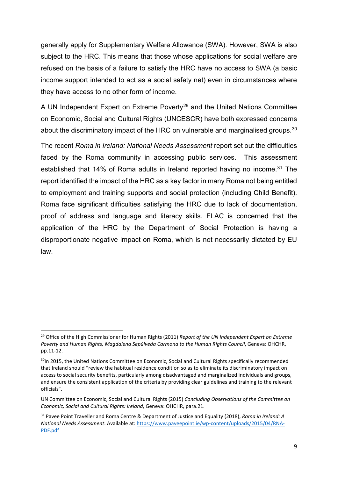generally apply for Supplementary Welfare Allowance (SWA). However, SWA is also subject to the HRC. This means that those whose applications for social welfare are refused on the basis of a failure to satisfy the HRC have no access to SWA (a basic income support intended to act as a social safety net) even in circumstances where they have access to no other form of income.

A UN Independent Expert on Extreme Poverty<sup>[29](#page-14-0)</sup> and the United Nations Committee on Economic, Social and Cultural Rights (UNCESCR) have both expressed concerns about the discriminatory impact of the HRC on vulnerable and marginalised groups.<sup>30</sup>

The recent *Roma in Ireland: National Needs Assessment* report set out the difficulties faced by the Roma community in accessing public services. This assessment established that 14% of Roma adults in Ireland reported having no income.<sup>[31](#page-14-2)</sup> The report identified the impact of the HRC as a key factor in many Roma not being entitled to employment and training supports and social protection (including Child Benefit). Roma face significant difficulties satisfying the HRC due to lack of documentation, proof of address and language and literacy skills. FLAC is concerned that the application of the HRC by the Department of Social Protection is having a disproportionate negative impact on Roma, which is not necessarily dictated by EU law.

<span id="page-14-0"></span> <sup>29</sup> Office of the High Commissioner for Human Rights (2011) *Report of the UN Independent Expert on Extreme Poverty and Human Rights, Magdalena Sepúlveda Carmona to the Human Rights Council*, Geneva: OHCHR, pp.11-12.

<span id="page-14-1"></span><sup>&</sup>lt;sup>30</sup>In 2015, the United Nations Committee on Economic, Social and Cultural Rights specifically recommended that Ireland should "review the habitual residence condition so as to eliminate its discriminatory impact on access to social security benefits, particularly among disadvantaged and marginalized individuals and groups, and ensure the consistent application of the criteria by providing clear guidelines and training to the relevant officials".

UN Committee on Economic, Social and Cultural Rights (2015) *Concluding Observations of the Committee on Economic, Social and Cultural Rights: Ireland*, Geneva: OHCHR, para.21.

<span id="page-14-2"></span><sup>31</sup> Pavee Point Traveller and Roma Centre & Department of Justice and Equality (2018), *Roma in Ireland: A National Needs Assessment*. Available at: [https://www.paveepoint.ie/wp-content/uploads/2015/04/RNA-](https://www.paveepoint.ie/wp-content/uploads/2015/04/RNA-PDF.pdf)[PDF.pdf](https://www.paveepoint.ie/wp-content/uploads/2015/04/RNA-PDF.pdf)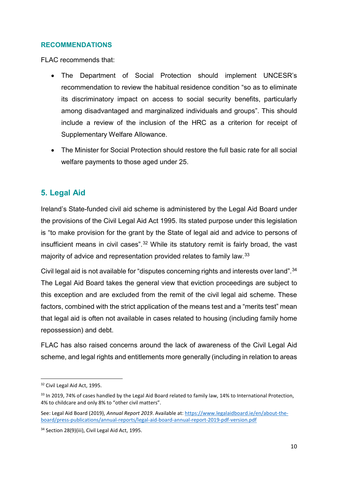## **RECOMMENDATIONS**

FLAC recommends that:

- The Department of Social Protection should implement UNCESR's recommendation to review the habitual residence condition "so as to eliminate its discriminatory impact on access to social security benefits, particularly among disadvantaged and marginalized individuals and groups". This should include a review of the inclusion of the HRC as a criterion for receipt of Supplementary Welfare Allowance.
- The Minister for Social Protection should restore the full basic rate for all social welfare payments to those aged under 25.

# **5. Legal Aid**

Ireland's State-funded civil aid scheme is administered by the Legal Aid Board under the provisions of the Civil Legal Aid Act 1995. Its stated purpose under this legislation is "to make provision for the grant by the State of legal aid and advice to persons of insufficient means in civil cases".<sup>[32](#page-15-0)</sup> While its statutory remit is fairly broad, the vast majority of advice and representation provided relates to family law.<sup>[33](#page-15-1)</sup>

Civil legal aid is not available for "disputes concerning rights and interests over land". [34](#page-15-2) The Legal Aid Board takes the general view that eviction proceedings are subject to this exception and are excluded from the remit of the civil legal aid scheme. These factors, combined with the strict application of the means test and a "merits test" mean that legal aid is often not available in cases related to housing (including family home repossession) and debt.

FLAC has also raised concerns around the lack of awareness of the Civil Legal Aid scheme, and legal rights and entitlements more generally (including in relation to areas

<span id="page-15-0"></span><sup>&</sup>lt;sup>32</sup> Civil Legal Aid Act, 1995.

<span id="page-15-1"></span><sup>&</sup>lt;sup>33</sup> In 2019, 74% of cases handled by the Legal Aid Board related to family law, 14% to International Protection, 4% to childcare and only 8% to "other civil matters".

See: Legal Aid Board (2019), *Annual Report 2019*. Available at[: https://www.legalaidboard.ie/en/about-the](https://www.legalaidboard.ie/en/about-the-board/press-publications/annual-reports/legal-aid-board-annual-report-2019-pdf-version.pdf)[board/press-publications/annual-reports/legal-aid-board-annual-report-2019-pdf-version.pdf](https://www.legalaidboard.ie/en/about-the-board/press-publications/annual-reports/legal-aid-board-annual-report-2019-pdf-version.pdf)

<span id="page-15-2"></span><sup>&</sup>lt;sup>34</sup> Section 28(9)(iii), Civil Legal Aid Act, 1995.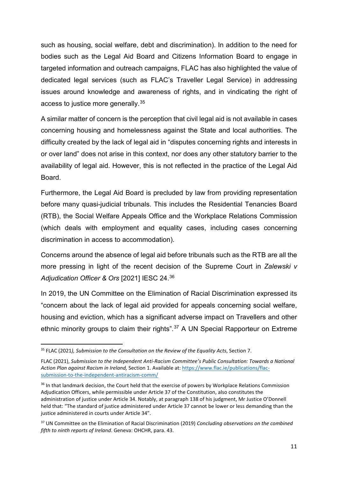such as housing, social welfare, debt and discrimination). In addition to the need for bodies such as the Legal Aid Board and Citizens Information Board to engage in targeted information and outreach campaigns, FLAC has also highlighted the value of dedicated legal services (such as FLAC's Traveller Legal Service) in addressing issues around knowledge and awareness of rights, and in vindicating the right of access to justice more generally.<sup>[35](#page-16-0)</sup>

A similar matter of concern is the perception that civil legal aid is not available in cases concerning housing and homelessness against the State and local authorities. The difficulty created by the lack of legal aid in "disputes concerning rights and interests in or over land" does not arise in this context, nor does any other statutory barrier to the availability of legal aid. However, this is not reflected in the practice of the Legal Aid Board.

Furthermore, the Legal Aid Board is precluded by law from providing representation before many quasi-judicial tribunals. This includes the Residential Tenancies Board (RTB), the Social Welfare Appeals Office and the Workplace Relations Commission (which deals with employment and equality cases, including cases concerning discrimination in access to accommodation).

Concerns around the absence of legal aid before tribunals such as the RTB are all the more pressing in light of the recent decision of the Supreme Court in *Zalewski v Adjudication Officer & Ors* [2021] IESC 24. [36](#page-16-1)

In 2019, the UN Committee on the Elimination of Racial Discrimination expressed its "concern about the lack of legal aid provided for appeals concerning social welfare, housing and eviction, which has a significant adverse impact on Travellers and other ethnic minority groups to claim their rights".<sup>37</sup> A UN Special Rapporteur on Extreme

<span id="page-16-0"></span> <sup>35</sup> FLAC (2021*), Submission to the Consultation on the Review of the Equality Acts*, Section 7.

FLAC (2021), *Submission to the Independent Anti-Racism Committee's Public Consultation: Towards a National Action Plan against Racism in Ireland,* Section 1. Available at: [https://www.flac.ie/publications/flac](https://www.flac.ie/publications/flac-submission-to-the-independent-antiracism-comm/)[submission-to-the-independent-antiracism-comm/](https://www.flac.ie/publications/flac-submission-to-the-independent-antiracism-comm/)

<span id="page-16-1"></span><sup>&</sup>lt;sup>36</sup> In that landmark decision, the Court held that the exercise of powers by Workplace Relations Commission Adjudication Officers, while permissible under Article 37 of the Constitution, also constitutes the administration of justice under Article 34. Notably, at paragraph 138 of his judgment, Mr Justice O'Donnell held that: "The standard of justice administered under Article 37 cannot be lower or less demanding than the justice administered in courts under Article 34".

<sup>37</sup> UN Committee on the Elimination of Racial Discrimination (2019) *Concluding observations on the combined fifth to ninth reports of Ireland*. Geneva: OHCHR, para. 43.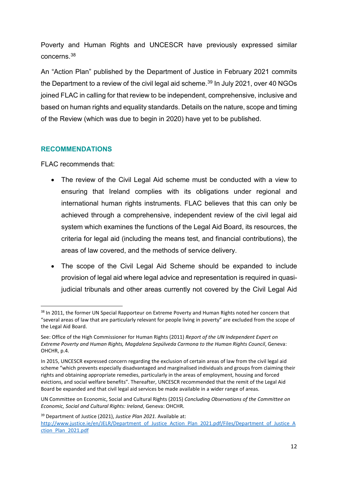Poverty and Human Rights and UNCESCR have previously expressed similar concerns.[38](#page-17-0)

An "Action Plan" published by the Department of Justice in February 2021 commits the Department to a review of the civil legal aid scheme. [39](#page-17-1) In July 2021, over 40 NGOs joined FLAC in calling for that review to be independent, comprehensive, inclusive and based on human rights and equality standards. Details on the nature, scope and timing of the Review (which was due to begin in 2020) have yet to be published.

## **RECOMMENDATIONS**

- The review of the Civil Legal Aid scheme must be conducted with a view to ensuring that Ireland complies with its obligations under regional and international human rights instruments. FLAC believes that this can only be achieved through a comprehensive, independent review of the civil legal aid system which examines the functions of the Legal Aid Board, its resources, the criteria for legal aid (including the means test, and financial contributions), the areas of law covered, and the methods of service delivery.
- The scope of the Civil Legal Aid Scheme should be expanded to include provision of legal aid where legal advice and representation is required in quasijudicial tribunals and other areas currently not covered by the Civil Legal Aid

<span id="page-17-0"></span><sup>&</sup>lt;sup>38</sup> In 2011, the former UN Special Rapporteur on Extreme Poverty and Human Rights noted her concern that "several areas of law that are particularly relevant for people living in poverty" are excluded from the scope of the Legal Aid Board.

See: Office of the High Commissioner for Human Rights (2011) *Report of the UN Independent Expert on Extreme Poverty and Human Rights, Magdalena Sepúlveda Carmona to the Human Rights Council*, Geneva: OHCHR, p.4.

In 2015, UNCESCR expressed concern regarding the exclusion of certain areas of law from the civil legal aid scheme "which prevents especially disadvantaged and marginalised individuals and groups from claiming their rights and obtaining appropriate remedies, particularly in the areas of employment, housing and forced evictions, and social welfare benefits". Thereafter, UNCESCR recommended that the remit of the Legal Aid Board be expanded and that civil legal aid services be made available in a wider range of areas.

UN Committee on Economic, Social and Cultural Rights (2015) *Concluding Observations of the Committee on Economic, Social and Cultural Rights: Ireland*, Geneva: OHCHR.

<span id="page-17-1"></span><sup>39</sup> Department of Justice (2021), *Justice Plan 2021*. Available at: [http://www.justice.ie/en/JELR/Department\\_of\\_Justice\\_Action\\_Plan\\_2021.pdf/Files/Department\\_of\\_Justice\\_A](http://www.justice.ie/en/JELR/Department_of_Justice_Action_Plan_2021.pdf/Files/Department_of_Justice_Action_Plan_2021.pdf) ction Plan 2021.pdf